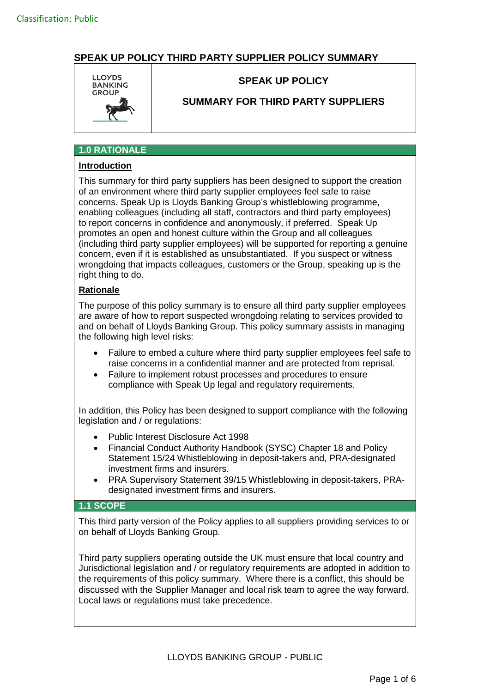

## **SPEAK UP POLICY**

## **SUMMARY FOR THIRD PARTY SUPPLIERS**

# **1.0 RATIONALE**

# **Introduction**

This summary for third party suppliers has been designed to support the creation of an environment where third party supplier employees feel safe to raise concerns. Speak Up is Lloyds Banking Group's whistleblowing programme, enabling colleagues (including all staff, contractors and third party employees) to report concerns in confidence and anonymously, if preferred. Speak Up promotes an open and honest culture within the Group and all colleagues (including third party supplier employees) will be supported for reporting a genuine concern, even if it is established as unsubstantiated. If you suspect or witness wrongdoing that impacts colleagues, customers or the Group, speaking up is the right thing to do.

#### **Rationale**

The purpose of this policy summary is to ensure all third party supplier employees are aware of how to report suspected wrongdoing relating to services provided to and on behalf of Lloyds Banking Group. This policy summary assists in managing the following high level risks:

- Failure to embed a culture where third party supplier employees feel safe to raise concerns in a confidential manner and are protected from reprisal.
- Failure to implement robust processes and procedures to ensure compliance with Speak Up legal and regulatory requirements.

In addition, this Policy has been designed to support compliance with the following legislation and / or regulations:

- Public Interest Disclosure Act 1998
- Financial Conduct Authority Handbook (SYSC) Chapter 18 and Policy Statement 15/24 Whistleblowing in deposit-takers and, PRA-designated investment firms and insurers.
- PRA Supervisory Statement 39/15 Whistleblowing in deposit-takers, PRAdesignated investment firms and insurers.

#### **1.1 SCOPE**

This third party version of the Policy applies to all suppliers providing services to or on behalf of Lloyds Banking Group.

Third party suppliers operating outside the UK must ensure that local country and Jurisdictional legislation and / or regulatory requirements are adopted in addition to the requirements of this policy summary. Where there is a conflict, this should be discussed with the Supplier Manager and local risk team to agree the way forward. Local laws or regulations must take precedence.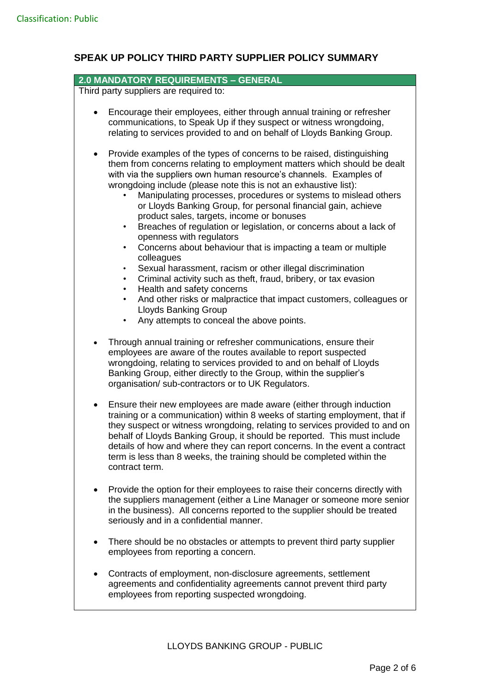## **2.0 MANDATORY REQUIREMENTS – GENERAL**

Third party suppliers are required to:

- Encourage their employees, either through annual training or refresher communications, to Speak Up if they suspect or witness wrongdoing, relating to services provided to and on behalf of Lloyds Banking Group.
- Provide examples of the types of concerns to be raised, distinguishing them from concerns relating to employment matters which should be dealt with via the suppliers own human resource's channels. Examples of wrongdoing include (please note this is not an exhaustive list):
	- Manipulating processes, procedures or systems to mislead others or Lloyds Banking Group, for personal financial gain, achieve product sales, targets, income or bonuses
	- Breaches of regulation or legislation, or concerns about a lack of openness with regulators
	- Concerns about behaviour that is impacting a team or multiple colleagues
	- Sexual harassment, racism or other illegal discrimination
	- Criminal activity such as theft, fraud, bribery, or tax evasion
	- Health and safety concerns
	- And other risks or malpractice that impact customers, colleagues or Lloyds Banking Group
	- Any attempts to conceal the above points.
- Through annual training or refresher communications, ensure their employees are aware of the routes available to report suspected wrongdoing, relating to services provided to and on behalf of Lloyds Banking Group, either directly to the Group, within the supplier's organisation/ sub-contractors or to UK Regulators.
- Ensure their new employees are made aware (either through induction training or a communication) within 8 weeks of starting employment, that if they suspect or witness wrongdoing, relating to services provided to and on behalf of Lloyds Banking Group, it should be reported. This must include details of how and where they can report concerns. In the event a contract term is less than 8 weeks, the training should be completed within the contract term.
- Provide the option for their employees to raise their concerns directly with the suppliers management (either a Line Manager or someone more senior in the business). All concerns reported to the supplier should be treated seriously and in a confidential manner.
- There should be no obstacles or attempts to prevent third party supplier employees from reporting a concern.
- Contracts of employment, non-disclosure agreements, settlement agreements and confidentiality agreements cannot prevent third party employees from reporting suspected wrongdoing.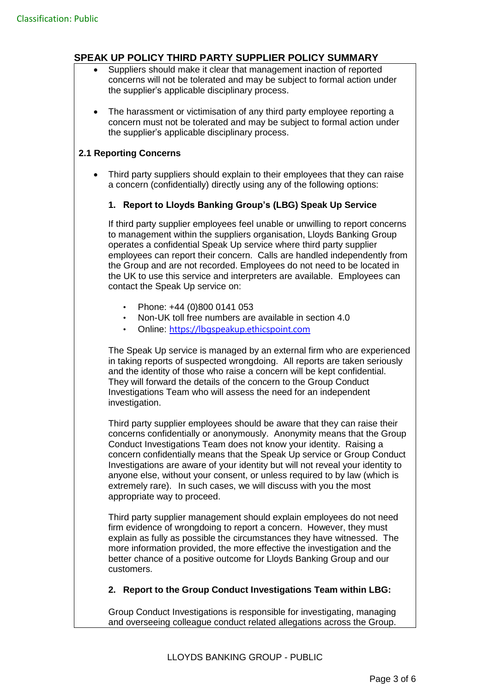- Suppliers should make it clear that management inaction of reported concerns will not be tolerated and may be subject to formal action under the supplier's applicable disciplinary process.
- The harassment or victimisation of any third party employee reporting a concern must not be tolerated and may be subject to formal action under the supplier's applicable disciplinary process.

## **2.1 Reporting Concerns**

 Third party suppliers should explain to their employees that they can raise a concern (confidentially) directly using any of the following options:

## **1. Report to Lloyds Banking Group's (LBG) Speak Up Service**

If third party supplier employees feel unable or unwilling to report concerns to management within the suppliers organisation, Lloyds Banking Group operates a confidential Speak Up service where third party supplier employees can report their concern. Calls are handled independently from the Group and are not recorded. Employees do not need to be located in the UK to use this service and interpreters are available. Employees can contact the Speak Up service on:

- Phone: +44 (0)800 0141 053
- Non-UK toll free numbers are available in section 4.0
- Online: [https://lbgspeakup.ethicspoint.com](https://eur02.safelinks.protection.outlook.com/?url=https%3A%2F%2Flbgspeakup.ethicspoint.com%2F&data=04%7C01%7CCarolThompson%40halifax.co.uk%7Cec82bd2d16954ebe7d8c08d994a35dda%7C3ded2960214a46ff8cf4611f125e2398%7C0%7C0%7C637704251631567198%7CUnknown%7CTWFpbGZsb3d8eyJWIjoiMC4wLjAwMDAiLCJQIjoiV2luMzIiLCJBTiI6Ik1haWwiLCJXVCI6Mn0%3D%7C1000&sdata=1VMo%2FX7dfAXyAWh7wIRK2H2Ni5wcdoeK5iO1Ok8I%2Fa4%3D&reserved=0)

The Speak Up service is managed by an external firm who are experienced in taking reports of suspected wrongdoing. All reports are taken seriously and the identity of those who raise a concern will be kept confidential. They will forward the details of the concern to the Group Conduct Investigations Team who will assess the need for an independent investigation.

Third party supplier employees should be aware that they can raise their concerns confidentially or anonymously. Anonymity means that the Group Conduct Investigations Team does not know your identity. Raising a concern confidentially means that the Speak Up service or Group Conduct Investigations are aware of your identity but will not reveal your identity to anyone else, without your consent, or unless required to by law (which is extremely rare). In such cases, we will discuss with you the most appropriate way to proceed.

Third party supplier management should explain employees do not need firm evidence of wrongdoing to report a concern. However, they must explain as fully as possible the circumstances they have witnessed. The more information provided, the more effective the investigation and the better chance of a positive outcome for Lloyds Banking Group and our customers.

#### **2. Report to the Group Conduct Investigations Team within LBG:**

Group Conduct Investigations is responsible for investigating, managing and overseeing colleague conduct related allegations across the Group.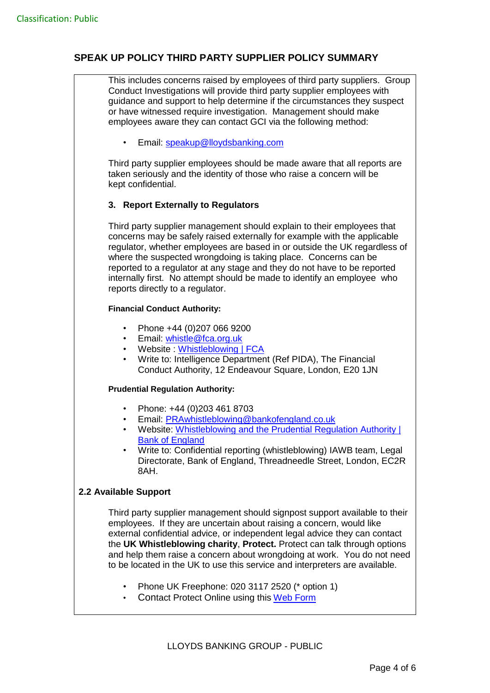This includes concerns raised by employees of third party suppliers. Group Conduct Investigations will provide third party supplier employees with guidance and support to help determine if the circumstances they suspect or have witnessed require investigation. Management should make employees aware they can contact GCI via the following method:

• Email: [speakup@lloydsbanking.com](mailto:speakup@lloydsbanking.com)

Third party supplier employees should be made aware that all reports are taken seriously and the identity of those who raise a concern will be kept confidential.

## **3. Report Externally to Regulators**

Third party supplier management should explain to their employees that concerns may be safely raised externally for example with the applicable regulator, whether employees are based in or outside the UK regardless of where the suspected wrongdoing is taking place. Concerns can be reported to a regulator at any stage and they do not have to be reported internally first. No attempt should be made to identify an employee who reports directly to a regulator.

#### **Financial Conduct Authority:**

- Phone +44 (0)207 066 9200
- Email: [whistle@fca.org.uk](mailto:whistle@fca.org.uk)
- Website : [Whistleblowing | FCA](https://www.fca.org.uk/firms/whistleblowing)
- Write to: Intelligence Department (Ref PIDA), The Financial Conduct Authority, 12 Endeavour Square, London, E20 1JN

#### **Prudential Regulation Authority:**

- Phone: +44 (0)203 461 8703
- Email: [PRAwhistleblowing@bankofengland.co.uk](mailto:PRAwhistleblowing@bankofengland.co.uk)
- Website: Whistleblowing and the Prudential Regulation Authority I [Bank of England](https://www.bankofengland.co.uk/%20whistleblowing)
- Write to: Confidential reporting (whistleblowing) IAWB team, Legal Directorate, Bank of England, Threadneedle Street, London, EC2R 8AH.

#### **2.2 Available Support**

Third party supplier management should signpost support available to their employees. If they are uncertain about raising a concern, would like external confidential advice, or independent legal advice they can contact the **UK Whistleblowing charity**, **Protect.** Protect can talk through options and help them raise a concern about wrongdoing at work. You do not need to be located in the UK to use this service and interpreters are available.

- Phone UK Freephone: 020 3117 2520 (\* option 1)
- Contact Protect Online using this [Web Form](https://protect-advice.org.uk/contact-protect-advice-line/)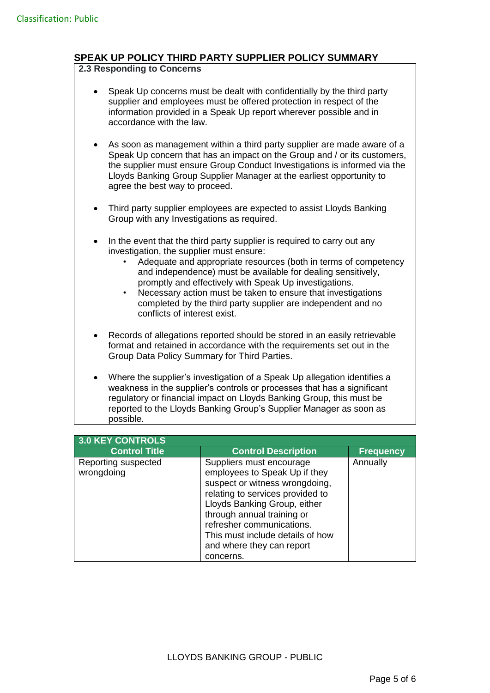#### **2.3 Responding to Concerns**

- Speak Up concerns must be dealt with confidentially by the third party supplier and employees must be offered protection in respect of the information provided in a Speak Up report wherever possible and in accordance with the law.
- As soon as management within a third party supplier are made aware of a Speak Up concern that has an impact on the Group and / or its customers, the supplier must ensure Group Conduct Investigations is informed via the Lloyds Banking Group Supplier Manager at the earliest opportunity to agree the best way to proceed.
- Third party supplier employees are expected to assist Lloyds Banking Group with any Investigations as required.
- In the event that the third party supplier is required to carry out any investigation, the supplier must ensure:
	- Adequate and appropriate resources (both in terms of competency and independence) must be available for dealing sensitively, promptly and effectively with Speak Up investigations.
	- Necessary action must be taken to ensure that investigations completed by the third party supplier are independent and no conflicts of interest exist.
- Records of allegations reported should be stored in an easily retrievable format and retained in accordance with the requirements set out in the Group Data Policy Summary for Third Parties.
- Where the supplier's investigation of a Speak Up allegation identifies a weakness in the supplier's controls or processes that has a significant regulatory or financial impact on Lloyds Banking Group, this must be reported to the Lloyds Banking Group's Supplier Manager as soon as possible.

| 3.0 KEY CONTROLS                  |                                                                                                                                                                                                                                                                                                          |                  |
|-----------------------------------|----------------------------------------------------------------------------------------------------------------------------------------------------------------------------------------------------------------------------------------------------------------------------------------------------------|------------------|
| <b>Control Title</b>              | <b>Control Description</b>                                                                                                                                                                                                                                                                               | <b>Frequency</b> |
| Reporting suspected<br>wrongdoing | Suppliers must encourage<br>employees to Speak Up if they<br>suspect or witness wrongdoing,<br>relating to services provided to<br>Lloyds Banking Group, either<br>through annual training or<br>refresher communications.<br>This must include details of how<br>and where they can report<br>concerns. | Annually         |